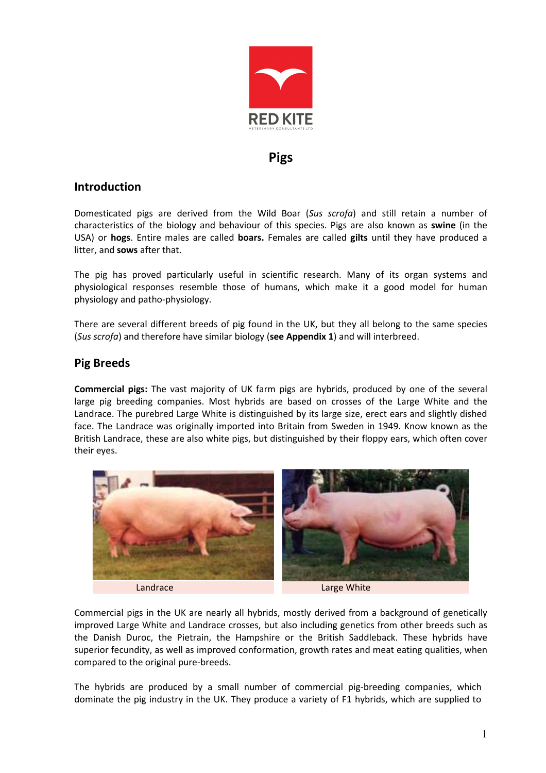

## Pigs

## Introduction

Domesticated pigs are derived from the Wild Boar (Sus scrofa) and still retain a number of characteristics of the biology and behaviour of this species. Pigs are also known as swine (in the USA) or hogs. Entire males are called boars. Females are called gilts until they have produced a litter, and sows after that.

The pig has proved particularly useful in scientific research. Many of its organ systems and physiological responses resemble those of humans, which make it a good model for human physiology and patho-physiology.

There are several different breeds of pig found in the UK, but they all belong to the same species (Sus scrofa) and therefore have similar biology (see Appendix 1) and will interbreed.

## Pig Breeds

Commercial pigs: The vast majority of UK farm pigs are hybrids, produced by one of the several large pig breeding companies. Most hybrids are based on crosses of the Large White and the Landrace. The purebred Large White is distinguished by its large size, erect ears and slightly dished face. The Landrace was originally imported into Britain from Sweden in 1949. Know known as the British Landrace, these are also white pigs, but distinguished by their floppy ears, which often cover their eyes.



Commercial pigs in the UK are nearly all hybrids, mostly derived from a background of genetically improved Large White and Landrace crosses, but also including genetics from other breeds such as the Danish Duroc, the Pietrain, the Hampshire or the British Saddleback. These hybrids have superior fecundity, as well as improved conformation, growth rates and meat eating qualities, when compared to the original pure-breeds.

The hybrids are produced by a small number of commercial pig-breeding companies, which dominate the pig industry in the UK. They produce a variety of F1 hybrids, which are supplied to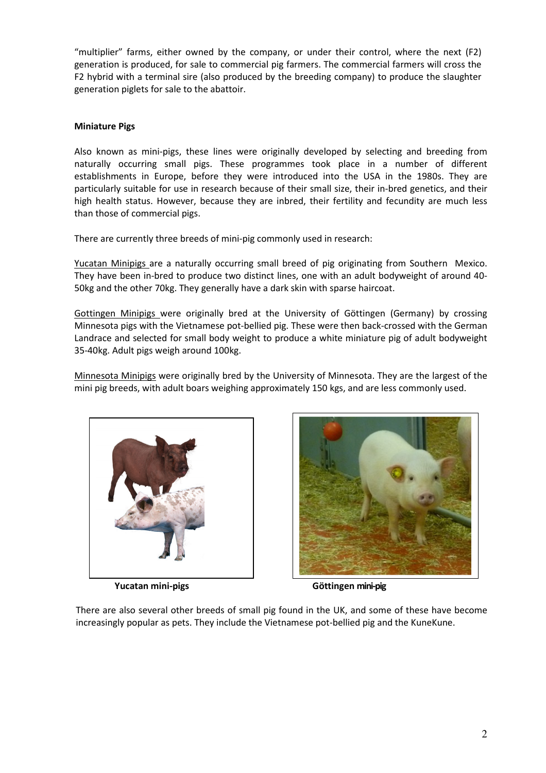"multiplier" farms, either owned by the company, or under their control, where the next (F2) generation is produced, for sale to commercial pig farmers. The commercial farmers will cross the F2 hybrid with a terminal sire (also produced by the breeding company) to produce the slaughter generation piglets for sale to the abattoir.

#### Miniature Pigs

Also known as mini-pigs, these lines were originally developed by selecting and breeding from naturally occurring small pigs. These programmes took place in a number of different establishments in Europe, before they were introduced into the USA in the 1980s. They are particularly suitable for use in research because of their small size, their in-bred genetics, and their high health status. However, because they are inbred, their fertility and fecundity are much less than those of commercial pigs.

There are currently three breeds of mini-pig commonly used in research:

Yucatan Minipigs are a naturally occurring small breed of pig originating from Southern Mexico. They have been in-bred to produce two distinct lines, one with an adult bodyweight of around 40- 50kg and the other 70kg. They generally have a dark skin with sparse haircoat.

Gottingen Minipigs were originally bred at the University of Göttingen (Germany) by crossing Minnesota pigs with the Vietnamese pot-bellied pig. These were then back-crossed with the German Landrace and selected for small body weight to produce a white miniature pig of adult bodyweight 35-40kg. Adult pigs weigh around 100kg.

Minnesota Minipigs were originally bred by the University of Minnesota. They are the largest of the mini pig breeds, with adult boars weighing approximately 150 kgs, and are less commonly used.





Yucatan mini-pigs Göttingen mini-pig

There are also several other breeds of small pig found in the UK, and some of these have become increasingly popular as pets. They include the Vietnamese pot-bellied pig and the KuneKune.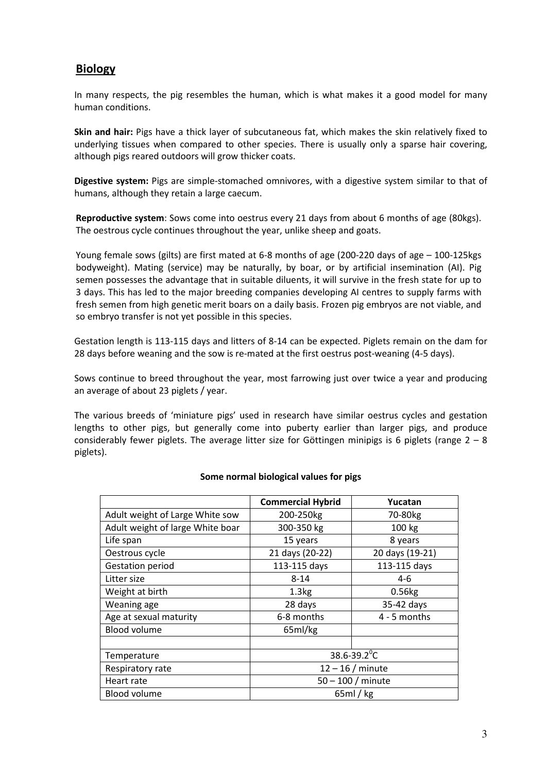# Biology

In many respects, the pig resembles the human, which is what makes it a good model for many human conditions.

Skin and hair: Pigs have a thick layer of subcutaneous fat, which makes the skin relatively fixed to underlying tissues when compared to other species. There is usually only a sparse hair covering, although pigs reared outdoors will grow thicker coats.

Digestive system: Pigs are simple-stomached omnivores, with a digestive system similar to that of humans, although they retain a large caecum.

Reproductive system: Sows come into oestrus every 21 days from about 6 months of age (80kgs). The oestrous cycle continues throughout the year, unlike sheep and goats.

Young female sows (gilts) are first mated at 6-8 months of age (200-220 days of age – 100-125kgs bodyweight). Mating (service) may be naturally, by boar, or by artificial insemination (AI). Pig semen possesses the advantage that in suitable diluents, it will survive in the fresh state for up to 3 days. This has led to the major breeding companies developing AI centres to supply farms with fresh semen from high genetic merit boars on a daily basis. Frozen pig embryos are not viable, and so embryo transfer is not yet possible in this species.

Gestation length is 113-115 days and litters of 8-14 can be expected. Piglets remain on the dam for 28 days before weaning and the sow is re-mated at the first oestrus post-weaning (4-5 days).

Sows continue to breed throughout the year, most farrowing just over twice a year and producing an average of about 23 piglets / year.

The various breeds of 'miniature pigs' used in research have similar oestrus cycles and gestation lengths to other pigs, but generally come into puberty earlier than larger pigs, and produce considerably fewer piglets. The average litter size for Göttingen minipigs is 6 piglets (range  $2 - 8$ ) piglets).

|                                  | <b>Commercial Hybrid</b>     | Yucatan              |  |
|----------------------------------|------------------------------|----------------------|--|
| Adult weight of Large White sow  | 200-250kg                    | 70-80 <sub>kg</sub>  |  |
| Adult weight of large White boar | 300-350 kg                   | 100 kg               |  |
| Life span                        | 15 years                     | 8 years              |  |
| Oestrous cycle                   | 21 days (20-22)              | 20 days (19-21)      |  |
| Gestation period                 | 113-115 days                 | 113-115 days         |  |
| Litter size                      | $8 - 14$                     | $4-6$                |  |
| Weight at birth                  | 1.3 <sub>kg</sub>            | $0.56$ <sub>kg</sub> |  |
| Weaning age                      | 28 days                      | 35-42 days           |  |
| Age at sexual maturity           | 6-8 months                   | $4 - 5$ months       |  |
| <b>Blood volume</b>              | 65ml/kg                      |                      |  |
|                                  |                              |                      |  |
| Temperature                      | $38.6 - 39.2$ <sup>°</sup> C |                      |  |
| Respiratory rate                 | $12 - 16$ / minute           |                      |  |
| Heart rate                       | $50 - 100$ / minute          |                      |  |
| <b>Blood volume</b>              | 65ml/kg                      |                      |  |

### Some normal biological values for pigs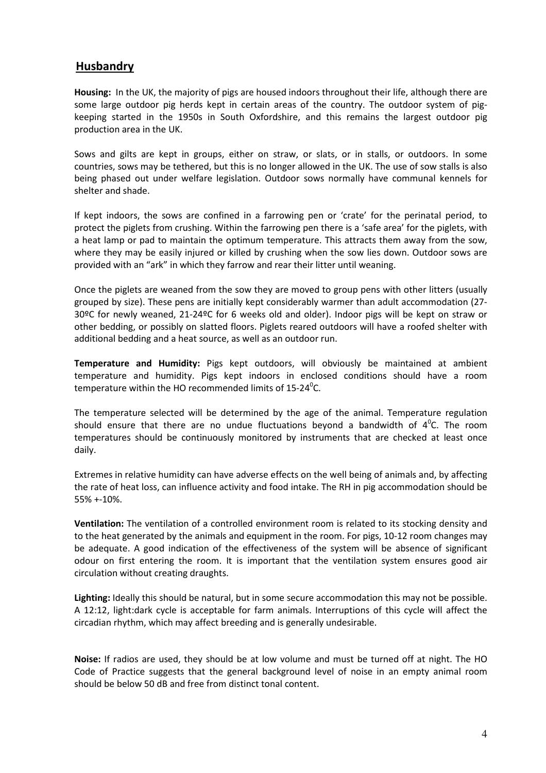## Husbandry

Housing: In the UK, the majority of pigs are housed indoors throughout their life, although there are some large outdoor pig herds kept in certain areas of the country. The outdoor system of pigkeeping started in the 1950s in South Oxfordshire, and this remains the largest outdoor pig production area in the UK.

Sows and gilts are kept in groups, either on straw, or slats, or in stalls, or outdoors. In some countries, sows may be tethered, but this is no longer allowed in the UK. The use of sow stalls is also being phased out under welfare legislation. Outdoor sows normally have communal kennels for shelter and shade.

If kept indoors, the sows are confined in a farrowing pen or 'crate' for the perinatal period, to protect the piglets from crushing. Within the farrowing pen there is a 'safe area' for the piglets, with a heat lamp or pad to maintain the optimum temperature. This attracts them away from the sow, where they may be easily injured or killed by crushing when the sow lies down. Outdoor sows are provided with an "ark" in which they farrow and rear their litter until weaning.

Once the piglets are weaned from the sow they are moved to group pens with other litters (usually grouped by size). These pens are initially kept considerably warmer than adult accommodation (27- 30ºC for newly weaned, 21-24ºC for 6 weeks old and older). Indoor pigs will be kept on straw or other bedding, or possibly on slatted floors. Piglets reared outdoors will have a roofed shelter with additional bedding and a heat source, as well as an outdoor run.

Temperature and Humidity: Pigs kept outdoors, will obviously be maintained at ambient temperature and humidity. Pigs kept indoors in enclosed conditions should have a room temperature within the HO recommended limits of 15-24 $\rm ^{o}$ C.

The temperature selected will be determined by the age of the animal. Temperature regulation should ensure that there are no undue fluctuations beyond a bandwidth of  $4^0$ C. The room temperatures should be continuously monitored by instruments that are checked at least once daily.

Extremes in relative humidity can have adverse effects on the well being of animals and, by affecting the rate of heat loss, can influence activity and food intake. The RH in pig accommodation should be 55% +-10%.

Ventilation: The ventilation of a controlled environment room is related to its stocking density and to the heat generated by the animals and equipment in the room. For pigs, 10-12 room changes may be adequate. A good indication of the effectiveness of the system will be absence of significant odour on first entering the room. It is important that the ventilation system ensures good air circulation without creating draughts.

Lighting: Ideally this should be natural, but in some secure accommodation this may not be possible. A 12:12, light:dark cycle is acceptable for farm animals. Interruptions of this cycle will affect the circadian rhythm, which may affect breeding and is generally undesirable.

Noise: If radios are used, they should be at low volume and must be turned off at night. The HO Code of Practice suggests that the general background level of noise in an empty animal room should be below 50 dB and free from distinct tonal content.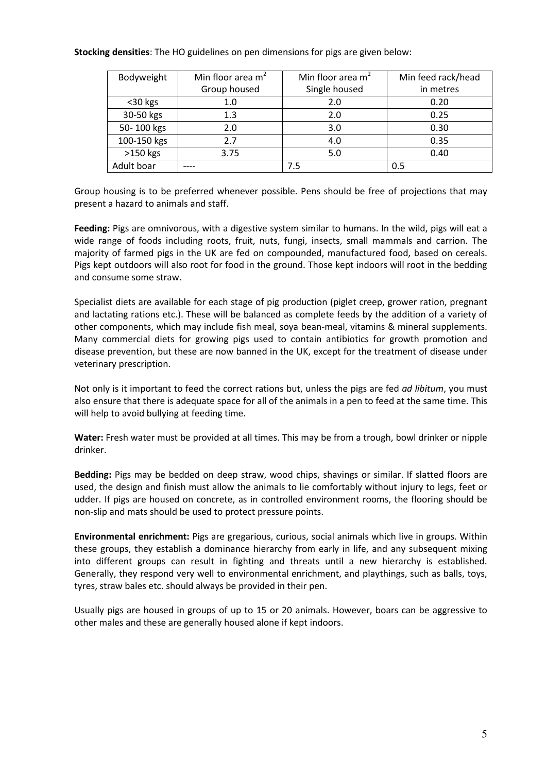#### Stocking densities: The HO guidelines on pen dimensions for pigs are given below:

| Bodyweight  | Min floor area $m2$ | Min floor area m <sup>2</sup> | Min feed rack/head |
|-------------|---------------------|-------------------------------|--------------------|
|             | Group housed        | Single housed                 | in metres          |
| <30 kgs     | 1.0                 | 2.0                           | 0.20               |
| 30-50 kgs   | 1.3                 | 2.0                           | 0.25               |
| 50-100 kgs  | 2.0                 | 3.0                           | 0.30               |
| 100-150 kgs | 2.7                 | 4.0                           | 0.35               |
| $>150$ kgs  | 3.75                | 5.0                           | 0.40               |
| Adult boar  |                     | 7.5                           | 0.5                |

Group housing is to be preferred whenever possible. Pens should be free of projections that may present a hazard to animals and staff.

Feeding: Pigs are omnivorous, with a digestive system similar to humans. In the wild, pigs will eat a wide range of foods including roots, fruit, nuts, fungi, insects, small mammals and carrion. The majority of farmed pigs in the UK are fed on compounded, manufactured food, based on cereals. Pigs kept outdoors will also root for food in the ground. Those kept indoors will root in the bedding and consume some straw.

Specialist diets are available for each stage of pig production (piglet creep, grower ration, pregnant and lactating rations etc.). These will be balanced as complete feeds by the addition of a variety of other components, which may include fish meal, soya bean-meal, vitamins & mineral supplements. Many commercial diets for growing pigs used to contain antibiotics for growth promotion and disease prevention, but these are now banned in the UK, except for the treatment of disease under veterinary prescription.

Not only is it important to feed the correct rations but, unless the pigs are fed *ad libitum*, you must also ensure that there is adequate space for all of the animals in a pen to feed at the same time. This will help to avoid bullying at feeding time.

Water: Fresh water must be provided at all times. This may be from a trough, bowl drinker or nipple drinker.

Bedding: Pigs may be bedded on deep straw, wood chips, shavings or similar. If slatted floors are used, the design and finish must allow the animals to lie comfortably without injury to legs, feet or udder. If pigs are housed on concrete, as in controlled environment rooms, the flooring should be non-slip and mats should be used to protect pressure points.

Environmental enrichment: Pigs are gregarious, curious, social animals which live in groups. Within these groups, they establish a dominance hierarchy from early in life, and any subsequent mixing into different groups can result in fighting and threats until a new hierarchy is established. Generally, they respond very well to environmental enrichment, and playthings, such as balls, toys, tyres, straw bales etc. should always be provided in their pen.

Usually pigs are housed in groups of up to 15 or 20 animals. However, boars can be aggressive to other males and these are generally housed alone if kept indoors.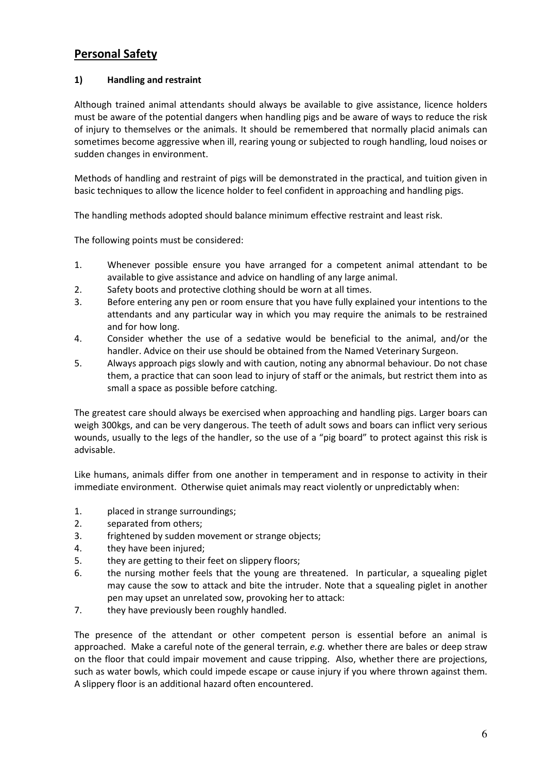# Personal Safety

### 1) Handling and restraint

Although trained animal attendants should always be available to give assistance, licence holders must be aware of the potential dangers when handling pigs and be aware of ways to reduce the risk of injury to themselves or the animals. It should be remembered that normally placid animals can sometimes become aggressive when ill, rearing young or subjected to rough handling, loud noises or sudden changes in environment.

Methods of handling and restraint of pigs will be demonstrated in the practical, and tuition given in basic techniques to allow the licence holder to feel confident in approaching and handling pigs.

The handling methods adopted should balance minimum effective restraint and least risk.

The following points must be considered:

- 1. Whenever possible ensure you have arranged for a competent animal attendant to be available to give assistance and advice on handling of any large animal.
- 2. Safety boots and protective clothing should be worn at all times.
- 3. Before entering any pen or room ensure that you have fully explained your intentions to the attendants and any particular way in which you may require the animals to be restrained and for how long.
- 4. Consider whether the use of a sedative would be beneficial to the animal, and/or the handler. Advice on their use should be obtained from the Named Veterinary Surgeon.
- 5. Always approach pigs slowly and with caution, noting any abnormal behaviour. Do not chase them, a practice that can soon lead to injury of staff or the animals, but restrict them into as small a space as possible before catching.

The greatest care should always be exercised when approaching and handling pigs. Larger boars can weigh 300kgs, and can be very dangerous. The teeth of adult sows and boars can inflict very serious wounds, usually to the legs of the handler, so the use of a "pig board" to protect against this risk is advisable.

Like humans, animals differ from one another in temperament and in response to activity in their immediate environment. Otherwise quiet animals may react violently or unpredictably when:

- 1. placed in strange surroundings;
- 2. separated from others;
- 3. frightened by sudden movement or strange objects;
- 4. they have been injured;
- 5. they are getting to their feet on slippery floors;
- 6. the nursing mother feels that the young are threatened. In particular, a squealing piglet may cause the sow to attack and bite the intruder. Note that a squealing piglet in another pen may upset an unrelated sow, provoking her to attack:
- 7. they have previously been roughly handled.

The presence of the attendant or other competent person is essential before an animal is approached. Make a careful note of the general terrain, e.g. whether there are bales or deep straw on the floor that could impair movement and cause tripping. Also, whether there are projections, such as water bowls, which could impede escape or cause injury if you where thrown against them. A slippery floor is an additional hazard often encountered.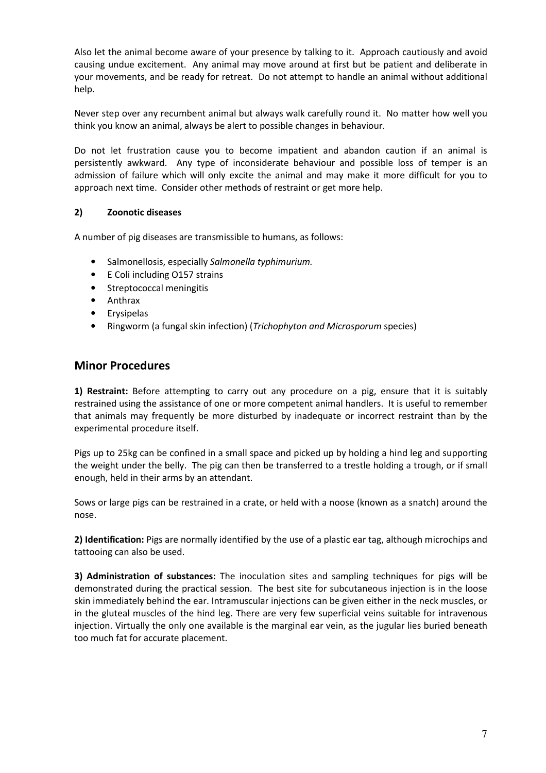Also let the animal become aware of your presence by talking to it. Approach cautiously and avoid causing undue excitement. Any animal may move around at first but be patient and deliberate in your movements, and be ready for retreat. Do not attempt to handle an animal without additional help.

Never step over any recumbent animal but always walk carefully round it. No matter how well you think you know an animal, always be alert to possible changes in behaviour.

Do not let frustration cause you to become impatient and abandon caution if an animal is persistently awkward. Any type of inconsiderate behaviour and possible loss of temper is an admission of failure which will only excite the animal and may make it more difficult for you to approach next time. Consider other methods of restraint or get more help.

### 2) Zoonotic diseases

A number of pig diseases are transmissible to humans, as follows:

- Salmonellosis, especially Salmonella typhimurium.
- E Coli including O157 strains
- Streptococcal meningitis
- Anthrax
- **Erysipelas**
- Ringworm (a fungal skin infection) (Trichophyton and Microsporum species)

### Minor Procedures

1) Restraint: Before attempting to carry out any procedure on a pig, ensure that it is suitably restrained using the assistance of one or more competent animal handlers. It is useful to remember that animals may frequently be more disturbed by inadequate or incorrect restraint than by the experimental procedure itself.

Pigs up to 25kg can be confined in a small space and picked up by holding a hind leg and supporting the weight under the belly. The pig can then be transferred to a trestle holding a trough, or if small enough, held in their arms by an attendant.

Sows or large pigs can be restrained in a crate, or held with a noose (known as a snatch) around the nose.

2) Identification: Pigs are normally identified by the use of a plastic ear tag, although microchips and tattooing can also be used.

3) Administration of substances: The inoculation sites and sampling techniques for pigs will be demonstrated during the practical session. The best site for subcutaneous injection is in the loose skin immediately behind the ear. Intramuscular injections can be given either in the neck muscles, or in the gluteal muscles of the hind leg. There are very few superficial veins suitable for intravenous injection. Virtually the only one available is the marginal ear vein, as the jugular lies buried beneath too much fat for accurate placement.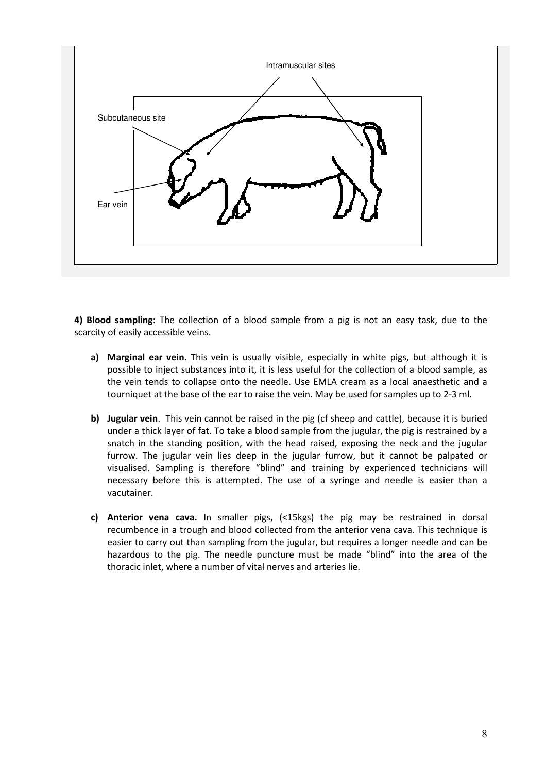

4) Blood sampling: The collection of a blood sample from a pig is not an easy task, due to the scarcity of easily accessible veins.

- a) Marginal ear vein. This vein is usually visible, especially in white pigs, but although it is possible to inject substances into it, it is less useful for the collection of a blood sample, as the vein tends to collapse onto the needle. Use EMLA cream as a local anaesthetic and a tourniquet at the base of the ear to raise the vein. May be used for samples up to 2-3 ml.
- b) Jugular vein. This vein cannot be raised in the pig (cf sheep and cattle), because it is buried under a thick layer of fat. To take a blood sample from the jugular, the pig is restrained by a snatch in the standing position, with the head raised, exposing the neck and the jugular furrow. The jugular vein lies deep in the jugular furrow, but it cannot be palpated or visualised. Sampling is therefore "blind" and training by experienced technicians will necessary before this is attempted. The use of a syringe and needle is easier than a vacutainer.
- c) Anterior vena cava. In smaller pigs,  $($ <15kgs) the pig may be restrained in dorsal recumbence in a trough and blood collected from the anterior vena cava. This technique is easier to carry out than sampling from the jugular, but requires a longer needle and can be hazardous to the pig. The needle puncture must be made "blind" into the area of the thoracic inlet, where a number of vital nerves and arteries lie.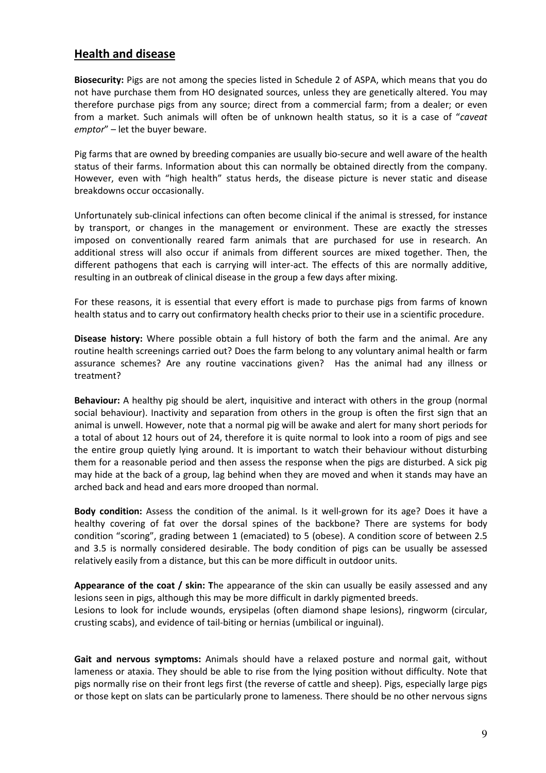## Health and disease

Biosecurity: Pigs are not among the species listed in Schedule 2 of ASPA, which means that you do not have purchase them from HO designated sources, unless they are genetically altered. You may therefore purchase pigs from any source; direct from a commercial farm; from a dealer; or even from a market. Such animals will often be of unknown health status, so it is a case of "caveat emptor" – let the buyer beware.

Pig farms that are owned by breeding companies are usually bio-secure and well aware of the health status of their farms. Information about this can normally be obtained directly from the company. However, even with "high health" status herds, the disease picture is never static and disease breakdowns occur occasionally.

Unfortunately sub-clinical infections can often become clinical if the animal is stressed, for instance by transport, or changes in the management or environment. These are exactly the stresses imposed on conventionally reared farm animals that are purchased for use in research. An additional stress will also occur if animals from different sources are mixed together. Then, the different pathogens that each is carrying will inter-act. The effects of this are normally additive, resulting in an outbreak of clinical disease in the group a few days after mixing.

For these reasons, it is essential that every effort is made to purchase pigs from farms of known health status and to carry out confirmatory health checks prior to their use in a scientific procedure.

**Disease history:** Where possible obtain a full history of both the farm and the animal. Are any routine health screenings carried out? Does the farm belong to any voluntary animal health or farm assurance schemes? Are any routine vaccinations given? Has the animal had any illness or treatment?

Behaviour: A healthy pig should be alert, inquisitive and interact with others in the group (normal social behaviour). Inactivity and separation from others in the group is often the first sign that an animal is unwell. However, note that a normal pig will be awake and alert for many short periods for a total of about 12 hours out of 24, therefore it is quite normal to look into a room of pigs and see the entire group quietly lying around. It is important to watch their behaviour without disturbing them for a reasonable period and then assess the response when the pigs are disturbed. A sick pig may hide at the back of a group, lag behind when they are moved and when it stands may have an arched back and head and ears more drooped than normal.

Body condition: Assess the condition of the animal. Is it well-grown for its age? Does it have a healthy covering of fat over the dorsal spines of the backbone? There are systems for body condition "scoring", grading between 1 (emaciated) to 5 (obese). A condition score of between 2.5 and 3.5 is normally considered desirable. The body condition of pigs can be usually be assessed relatively easily from a distance, but this can be more difficult in outdoor units.

Appearance of the coat / skin: The appearance of the skin can usually be easily assessed and any lesions seen in pigs, although this may be more difficult in darkly pigmented breeds. Lesions to look for include wounds, erysipelas (often diamond shape lesions), ringworm (circular, crusting scabs), and evidence of tail-biting or hernias (umbilical or inguinal).

Gait and nervous symptoms: Animals should have a relaxed posture and normal gait, without lameness or ataxia. They should be able to rise from the lying position without difficulty. Note that pigs normally rise on their front legs first (the reverse of cattle and sheep). Pigs, especially large pigs or those kept on slats can be particularly prone to lameness. There should be no other nervous signs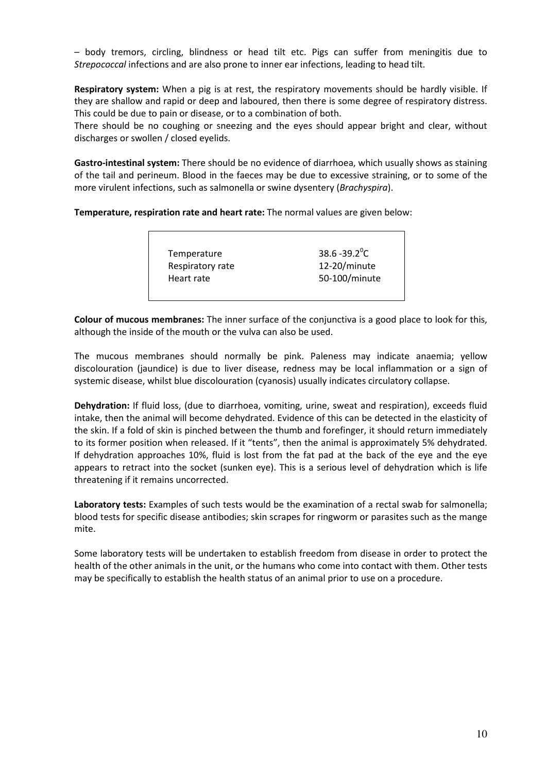– body tremors, circling, blindness or head tilt etc. Pigs can suffer from meningitis due to Strepococcal infections and are also prone to inner ear infections, leading to head tilt.

Respiratory system: When a pig is at rest, the respiratory movements should be hardly visible. If they are shallow and rapid or deep and laboured, then there is some degree of respiratory distress. This could be due to pain or disease, or to a combination of both.

There should be no coughing or sneezing and the eyes should appear bright and clear, without discharges or swollen / closed eyelids.

Gastro-intestinal system: There should be no evidence of diarrhoea, which usually shows as staining of the tail and perineum. Blood in the faeces may be due to excessive straining, or to some of the more virulent infections, such as salmonella or swine dysentery (Brachyspira).

Temperature, respiration rate and heart rate: The normal values are given below:

Temperature Respiratory rate Heart rate  $38.6 - 39.2$ <sup>o</sup>C 12-20/minute 50-100/minute

Colour of mucous membranes: The inner surface of the conjunctiva is a good place to look for this, although the inside of the mouth or the vulva can also be used.

The mucous membranes should normally be pink. Paleness may indicate anaemia; yellow discolouration (jaundice) is due to liver disease, redness may be local inflammation or a sign of systemic disease, whilst blue discolouration (cyanosis) usually indicates circulatory collapse.

Dehydration: If fluid loss, (due to diarrhoea, vomiting, urine, sweat and respiration), exceeds fluid intake, then the animal will become dehydrated. Evidence of this can be detected in the elasticity of the skin. If a fold of skin is pinched between the thumb and forefinger, it should return immediately to its former position when released. If it "tents", then the animal is approximately 5% dehydrated. If dehydration approaches 10%, fluid is lost from the fat pad at the back of the eye and the eye appears to retract into the socket (sunken eye). This is a serious level of dehydration which is life threatening if it remains uncorrected.

Laboratory tests: Examples of such tests would be the examination of a rectal swab for salmonella; blood tests for specific disease antibodies; skin scrapes for ringworm or parasites such as the mange mite.

Some laboratory tests will be undertaken to establish freedom from disease in order to protect the health of the other animals in the unit, or the humans who come into contact with them. Other tests may be specifically to establish the health status of an animal prior to use on a procedure.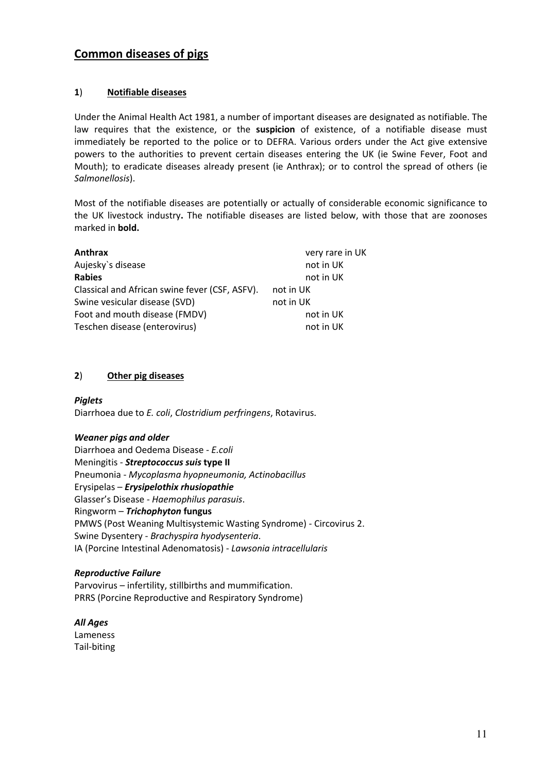## Common diseases of pigs

### 1) Notifiable diseases

Under the Animal Health Act 1981, a number of important diseases are designated as notifiable. The law requires that the existence, or the suspicion of existence, of a notifiable disease must immediately be reported to the police or to DEFRA. Various orders under the Act give extensive powers to the authorities to prevent certain diseases entering the UK (ie Swine Fever, Foot and Mouth); to eradicate diseases already present (ie Anthrax); or to control the spread of others (ie Salmonellosis).

Most of the notifiable diseases are potentially or actually of considerable economic significance to the UK livestock industry. The notifiable diseases are listed below, with those that are zoonoses marked in bold.

| Anthrax                                        | very rare in UK |
|------------------------------------------------|-----------------|
| Aujesky's disease                              | not in UK       |
| <b>Rabies</b>                                  | not in UK       |
| Classical and African swine fever (CSF, ASFV). | not in UK       |
| Swine vesicular disease (SVD)                  | not in UK       |
| Foot and mouth disease (FMDV)                  | not in UK       |
| Teschen disease (enterovirus)                  | not in UK       |

### 2) Other pig diseases

### Piglets

Diarrhoea due to E. coli, Clostridium perfringens, Rotavirus.

#### Weaner pias and older

Diarrhoea and Oedema Disease - E.coli Meningitis - Streptococcus suis type II Pneumonia - Mycoplasma hyopneumonia, Actinobacillus Erysipelas – Erysipelothix rhusiopathie Glasser's Disease - Haemophilus parasuis. Ringworm – Trichophyton fungus PMWS (Post Weaning Multisystemic Wasting Syndrome) - Circovirus 2. Swine Dysentery - Brachyspira hyodysenteria. IA (Porcine Intestinal Adenomatosis) - Lawsonia intracellularis

### Reproductive Failure

Parvovirus – infertility, stillbirths and mummification. PRRS (Porcine Reproductive and Respiratory Syndrome)

All Ages Lameness Tail-biting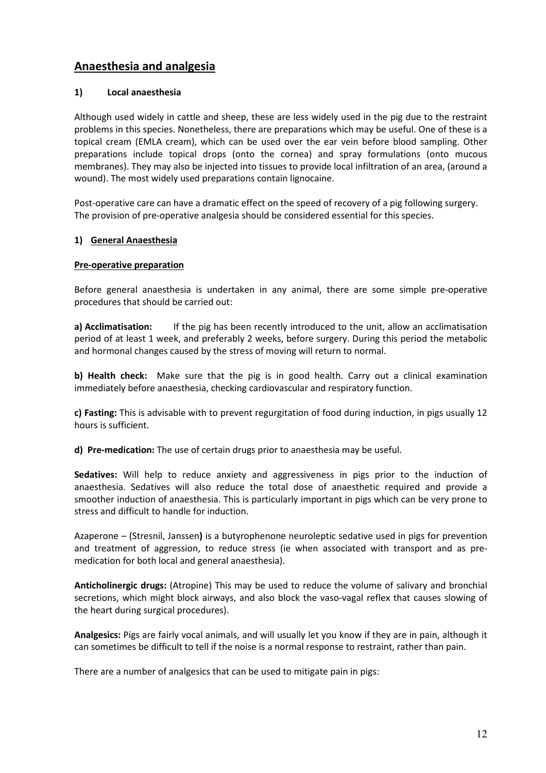# Anaesthesia and analgesia

### 1) Local anaesthesia

Although used widely in cattle and sheep, these are less widely used in the pig due to the restraint problems in this species. Nonetheless, there are preparations which may be useful. One of these is a topical cream (EMLA cream), which can be used over the ear vein before blood sampling. Other preparations include topical drops (onto the cornea) and spray formulations (onto mucous membranes). They may also be injected into tissues to provide local infiltration of an area, (around a wound). The most widely used preparations contain lignocaine.

Post-operative care can have a dramatic effect on the speed of recovery of a pig following surgery. The provision of pre-operative analgesia should be considered essential for this species.

### 1) General Anaesthesia

### Pre-operative preparation

Before general anaesthesia is undertaken in any animal, there are some simple pre-operative procedures that should be carried out:

a) Acclimatisation: If the pig has been recently introduced to the unit, allow an acclimatisation period of at least 1 week, and preferably 2 weeks, before surgery. During this period the metabolic and hormonal changes caused by the stress of moving will return to normal.

b) Health check: Make sure that the pig is in good health. Carry out a clinical examination immediately before anaesthesia, checking cardiovascular and respiratory function.

c) Fasting: This is advisable with to prevent regurgitation of food during induction, in pigs usually 12 hours is sufficient.

d) Pre-medication: The use of certain drugs prior to anaesthesia may be useful.

Sedatives: Will help to reduce anxiety and aggressiveness in pigs prior to the induction of anaesthesia. Sedatives will also reduce the total dose of anaesthetic required and provide a smoother induction of anaesthesia. This is particularly important in pigs which can be very prone to stress and difficult to handle for induction.

Azaperone – (Stresnil, Janssen) is a butyrophenone neuroleptic sedative used in pigs for prevention and treatment of aggression, to reduce stress (ie when associated with transport and as premedication for both local and general anaesthesia).

Anticholinergic drugs: (Atropine) This may be used to reduce the volume of salivary and bronchial secretions, which might block airways, and also block the vaso-vagal reflex that causes slowing of the heart during surgical procedures).

Analgesics: Pigs are fairly vocal animals, and will usually let you know if they are in pain, although it can sometimes be difficult to tell if the noise is a normal response to restraint, rather than pain.

There are a number of analgesics that can be used to mitigate pain in pigs: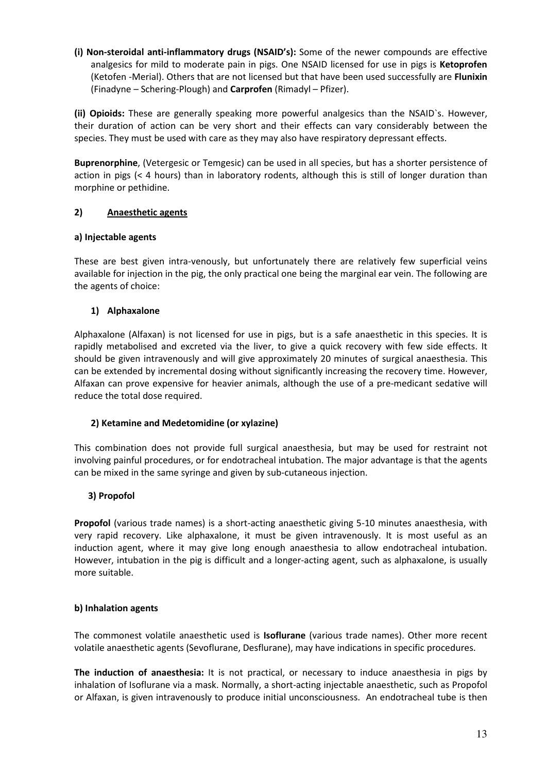(i) Non-steroidal anti-inflammatory drugs (NSAID's): Some of the newer compounds are effective analgesics for mild to moderate pain in pigs. One NSAID licensed for use in pigs is Ketoprofen (Ketofen -Merial). Others that are not licensed but that have been used successfully are Flunixin (Finadyne – Schering-Plough) and Carprofen (Rimadyl – Pfizer).

(ii) Opioids: These are generally speaking more powerful analgesics than the NSAID's. However, their duration of action can be very short and their effects can vary considerably between the species. They must be used with care as they may also have respiratory depressant effects.

Buprenorphine, (Vetergesic or Temgesic) can be used in all species, but has a shorter persistence of action in pigs (< 4 hours) than in laboratory rodents, although this is still of longer duration than morphine or pethidine.

### 2) Anaesthetic agents

#### a) Injectable agents

These are best given intra-venously, but unfortunately there are relatively few superficial veins available for injection in the pig, the only practical one being the marginal ear vein. The following are the agents of choice:

### 1) Alphaxalone

Alphaxalone (Alfaxan) is not licensed for use in pigs, but is a safe anaesthetic in this species. It is rapidly metabolised and excreted via the liver, to give a quick recovery with few side effects. It should be given intravenously and will give approximately 20 minutes of surgical anaesthesia. This can be extended by incremental dosing without significantly increasing the recovery time. However, Alfaxan can prove expensive for heavier animals, although the use of a pre-medicant sedative will reduce the total dose required.

### 2) Ketamine and Medetomidine (or xylazine)

This combination does not provide full surgical anaesthesia, but may be used for restraint not involving painful procedures, or for endotracheal intubation. The major advantage is that the agents can be mixed in the same syringe and given by sub-cutaneous injection.

### 3) Propofol

Propofol (various trade names) is a short-acting anaesthetic giving 5-10 minutes anaesthesia, with very rapid recovery. Like alphaxalone, it must be given intravenously. It is most useful as an induction agent, where it may give long enough anaesthesia to allow endotracheal intubation. However, intubation in the pig is difficult and a longer-acting agent, such as alphaxalone, is usually more suitable.

#### b) Inhalation agents

The commonest volatile anaesthetic used is Isoflurane (various trade names). Other more recent volatile anaesthetic agents (Sevoflurane, Desflurane), may have indications in specific procedures.

The induction of anaesthesia: It is not practical, or necessary to induce anaesthesia in pigs by inhalation of Isoflurane via a mask. Normally, a short-acting injectable anaesthetic, such as Propofol or Alfaxan, is given intravenously to produce initial unconsciousness. An endotracheal tube is then